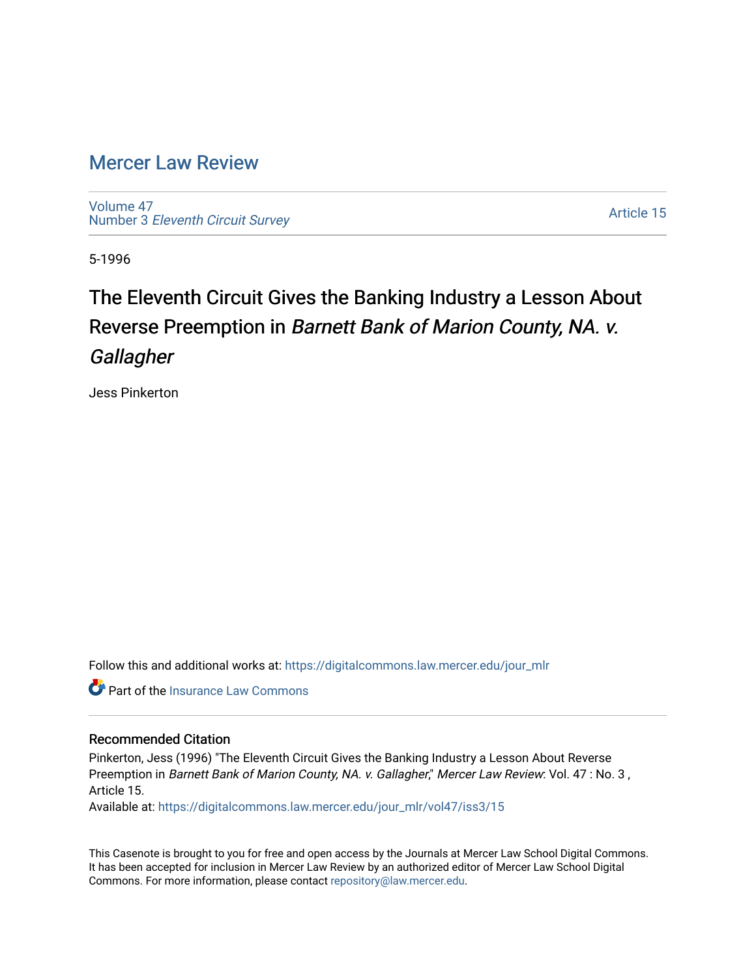## [Mercer Law Review](https://digitalcommons.law.mercer.edu/jour_mlr)

[Volume 47](https://digitalcommons.law.mercer.edu/jour_mlr/vol47) Number 3 [Eleventh Circuit Survey](https://digitalcommons.law.mercer.edu/jour_mlr/vol47/iss3) 

[Article 15](https://digitalcommons.law.mercer.edu/jour_mlr/vol47/iss3/15) 

5-1996

## The Eleventh Circuit Gives the Banking Industry a Lesson About Reverse Preemption in Barnett Bank of Marion County, NA. v. **Gallagher**

Jess Pinkerton

Follow this and additional works at: [https://digitalcommons.law.mercer.edu/jour\\_mlr](https://digitalcommons.law.mercer.edu/jour_mlr?utm_source=digitalcommons.law.mercer.edu%2Fjour_mlr%2Fvol47%2Fiss3%2F15&utm_medium=PDF&utm_campaign=PDFCoverPages)

**C** Part of the [Insurance Law Commons](http://network.bepress.com/hgg/discipline/607?utm_source=digitalcommons.law.mercer.edu%2Fjour_mlr%2Fvol47%2Fiss3%2F15&utm_medium=PDF&utm_campaign=PDFCoverPages)

## Recommended Citation

Pinkerton, Jess (1996) "The Eleventh Circuit Gives the Banking Industry a Lesson About Reverse Preemption in Barnett Bank of Marion County, NA. v. Gallagher," Mercer Law Review: Vol. 47 : No. 3, Article 15.

Available at: [https://digitalcommons.law.mercer.edu/jour\\_mlr/vol47/iss3/15](https://digitalcommons.law.mercer.edu/jour_mlr/vol47/iss3/15?utm_source=digitalcommons.law.mercer.edu%2Fjour_mlr%2Fvol47%2Fiss3%2F15&utm_medium=PDF&utm_campaign=PDFCoverPages) 

This Casenote is brought to you for free and open access by the Journals at Mercer Law School Digital Commons. It has been accepted for inclusion in Mercer Law Review by an authorized editor of Mercer Law School Digital Commons. For more information, please contact [repository@law.mercer.edu.](mailto:repository@law.mercer.edu)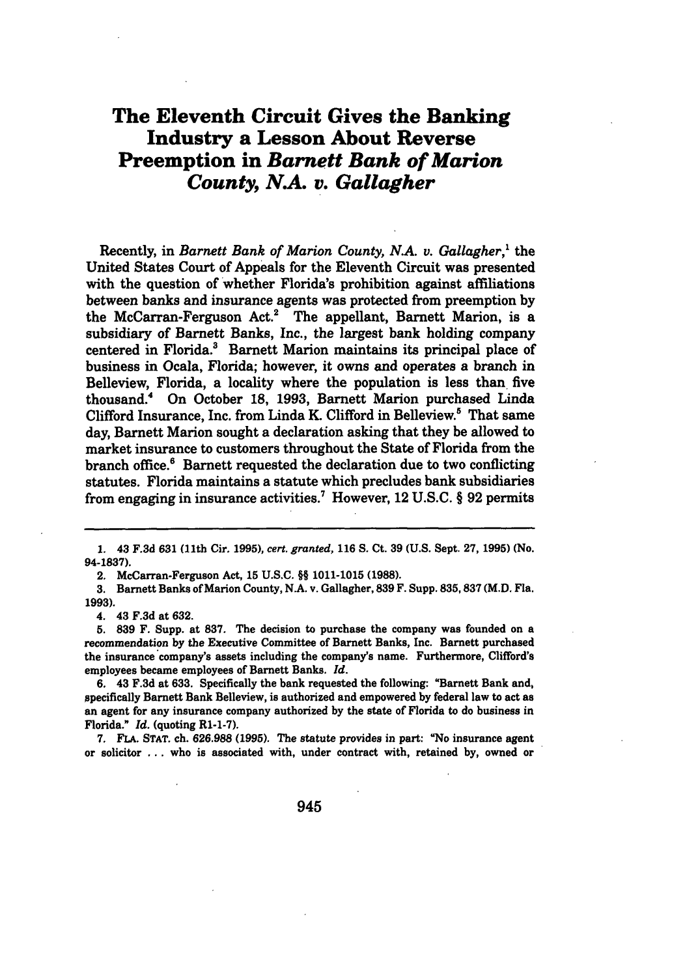## **The Eleventh Circuit Gives the Banking Industry a Lesson About Reverse Preemption in** *Barnett Bank of Marion County, NA. v. Gallagher*

Recently, in *Barnett Bank of Marion County, N.A. v. Gallagher,'* the United States Court of Appeals for the Eleventh Circuit was presented with the question of whether Florida's prohibition against affiliations between banks and insurance agents was protected from preemption **by** the McCarran-Ferguson Act.<sup>2</sup> The appellant, Barnett Marion, is a subsidiary of Barnett Banks, Inc., the largest bank holding company centered in Florida? Barnett Marion maintains its principal place of business in Ocala, Florida; however, it owns and operates a branch in Belleview, Florida, a locality where the population is less than five thousand.4 On October **18, 1993,** Barnett Marion purchased Linda Clifford Insurance, Inc. from Linda K. Clifford in Belleview.<sup>5</sup> That same day, Barnett Marion sought a declaration asking that they be allowed to market insurance to customers throughout the State of Florida from the branch office." Barnett requested the declaration due to two conflicting statutes. Florida maintains a statute which precludes bank subsidiaries from engaging in insurance activities.' However, 12 **U.S.C. § 92** permits

2. McCarran-Ferguson Act, **15 U.S.C.** §§ **1011-1015 (1988).**

**3.** Barnett Banks of Marion County, **N.A.** v. Gallagher, **839** F. Supp. **835,837** (M.D. Fla. **1993).**

4. 43 **F.3d** at **632.**

**5. 839** F. Supp. at **837.** The decision to purchase the company was founded on a recommendation **by** the Executive Committee of Barnett Banks, Inc. Barnett purchased the insurance company's assets including the company's name. Furthermore, Clifford's employees became employees of Barnett Banks. *Id.*

**6.** 43 **F.3d** at **633.** Specifically the bank requested the following: "Barnett Bank and, specifically Barnett Bank Belleview, is authorized and empowered **by** federal law to act as an agent for any insurance company authorized **by** the state of Florida to do business in Florida." *Id.* (quoting R1-1-7).

**7. FLA. STAT.** ch. **626.988 (1995).** The statute provides in part: "No insurance agent or solicitor **...** who is associated with, under contract with, retained **by,** owned or

**<sup>1.</sup>** 43 **F.3d 631** (11th Cir. **1995),** *cert. granted,* **116 S.** Ct. **39 (U.S.** Sept. **27, 1995)** (No. **94-1837).**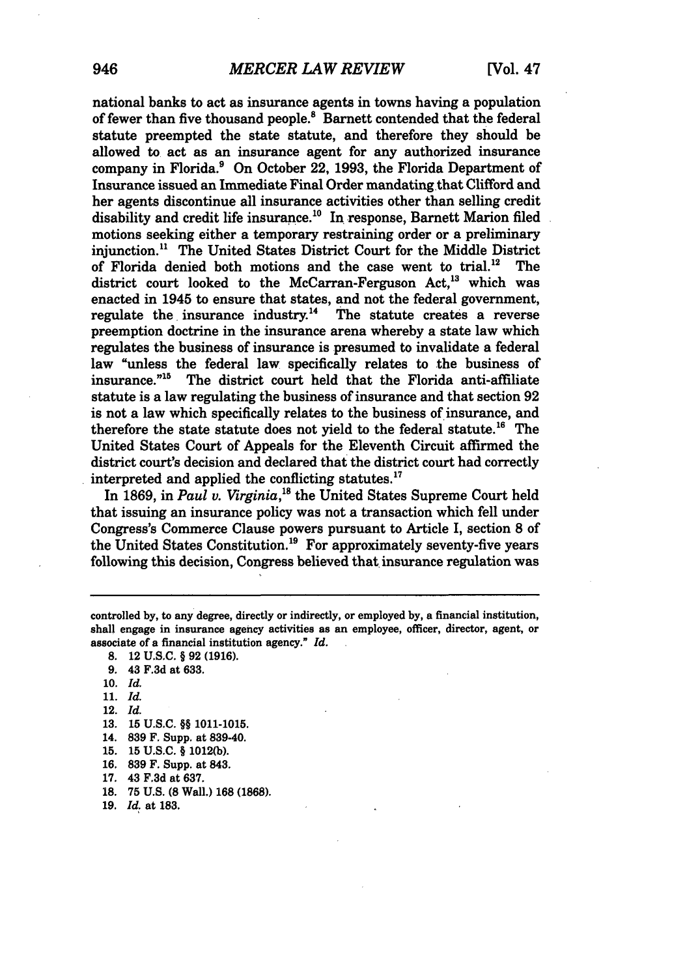national banks to act as insurance agents in towns having a population of fewer than five thousand people.<sup>8</sup> Barnett contended that the federal statute preempted the state statute, and therefore they should be allowed to act as an insurance agent for any authorized insurance company in Florida.9 On October 22, **1993,** the Florida Department of Insurance issued an Immediate Final Order mandating that Clifford and her agents discontinue all insurance activities other than selling credit disability and credit life insurance.<sup>10</sup> In response, Barnett Marion filed motions seeking either a temporary restraining order or a preliminary injunction." The United States District Court for the Middle District of Florida denied both motions and the case went to trial.<sup>12</sup> The district court looked to the McCarran-Ferguson Act.<sup>13</sup> which was enacted in 1945 to ensure that states, and not the federal government, regulate the insurance industry.<sup>14</sup> The statute creates a reverse preemption doctrine in the insurance arena whereby a state law which regulates the business of insurance is presumed to invalidate a federal law "unless the federal law specifically relates to the business of insurance."<sup>15</sup> The district court held that the Florida anti-affiliate statute is a law regulating the business of insurance and that section **92** is not a law which specifically relates to the business of insurance, and therefore the state statute does not vield to the federal statute.<sup>16</sup> The United States Court of Appeals for the Eleventh Circuit affirmed the district court's decision and declared that the district court had correctly interpreted and applied the conflicting statutes.<sup>17</sup>

In 1869, in *Paul v. Virginia*,<sup>18</sup> the United States Supreme Court held that issuing an insurance policy was not a transaction which fell under Congress's Commerce Clause powers pursuant to Article I, section 8 of the United States Constitution.<sup>19</sup> For approximately seventy-five years following this decision, Congress believed that insurance regulation was

**10.** *Id.*

- **11.** *Id.*
- 12. *Id.*
- **13. 15** U.S.C. §§ **1011-1015.**
- 14. **839** F. Supp. at **839-40.**
- **15. 15 U.S.C.** § **1012(b).**
- **16. 839** F. Supp. at 843.
- **17.** 43 **F.3d** at **637.**
- **18. 75 U.S. (8** Wall.) **168 (1868).**
- **19.** *Id.* at **183.**

controlled **by,** to any degree, directly or indirectly, or employed **by,** a financial institution, shall engage in insurance agency activities as an employee, officer, director, agent, or associate of a financial institution agency." *Id.*

**<sup>8.</sup>** 12 **U.S.C.** § **92 (1916).**

**<sup>9.</sup>** 43 **F.3d** at **633.**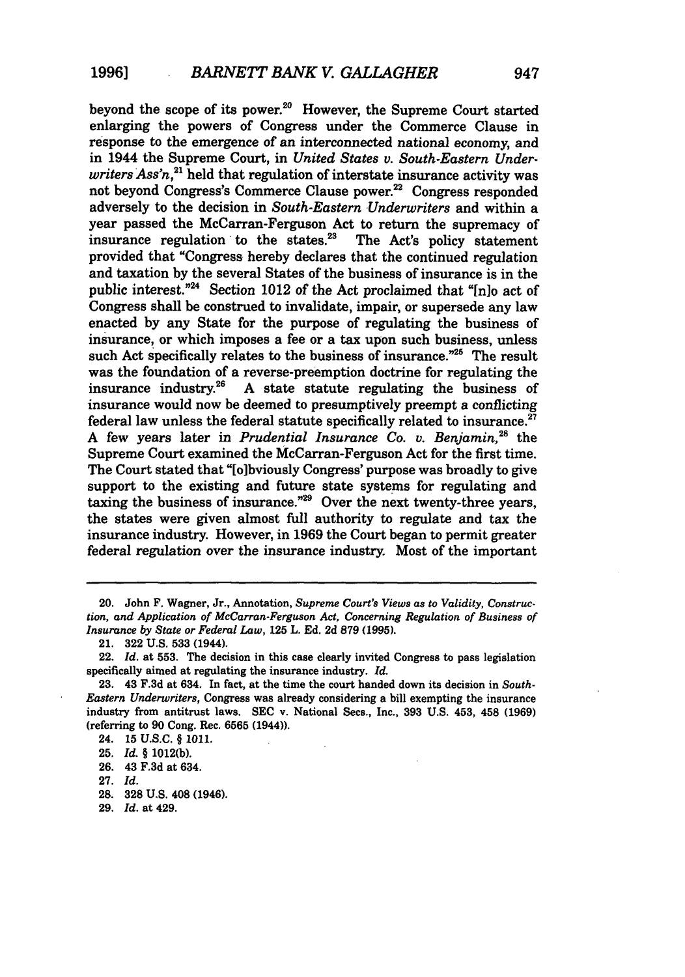beyond the scope of its power.<sup>20</sup> However, the Supreme Court started enlarging the powers of Congress under the Commerce Clause in response to the emergence of an interconnected national economy, and in 1944 the Supreme Court, in *United States v. South-Eastern Under* $writers Assn<sup>21</sup>$  held that regulation of interstate insurance activity was not beyond Congress's Commerce Clause power.<sup>22</sup> Congress responded adversely to the decision in *South-Eastern Underwriters* and within a year passed the McCarran-Ferguson Act to return the supremacy of insurance regulation to the states.<sup>23</sup> The Act's policy statement provided that "Congress hereby declares that the continued regulation and taxation by the several States of the business of insurance is in the public interest."<sup>24</sup> Section 1012 of the Act proclaimed that " $[n]$  act of Congress shall be construed to invalidate, impair, or supersede any law enacted by any State for the purpose of regulating the business of insurance, or which imposes a fee or a tax upon such business, unless such Act specifically relates to the business of insurance."<sup>25</sup> The result was the foundation of a reverse-preemption doctrine for regulating the insurance industry.<sup>26</sup> A state statute regulating the business of A state statute regulating the business of insurance would now be deemed to presumptively preempt a conflicting federal law unless the federal statute specifically related to insurance.<sup>27</sup> **A** few years later in *Prudential Insurance Co. v. Benjamin,28* the Supreme Court examined the McCarran-Ferguson Act for the first time. The Court stated that "[olbviously Congress' purpose was broadly to give support to the existing and future state systems for regulating and taxing the business of insurance."<sup>29</sup> Over the next twenty-three years, the states were given almost full authority to regulate and tax the insurance industry. However, in **1969** the Court began to permit greater federal regulation over the insurance industry. Most of the important

**<sup>20.</sup>** John **F.** Wagner, Jr., Annotation, *Supreme Court's Views as to Validity, Construction, and Application of McCarran-Ferguson Act, Concerning Regulation of Business of Insurance by State or Federal Law,* **125** L. **Ed. 2d 879 (1995).**

**<sup>21. 322</sup> U.S. 533** (1944).

<sup>22.</sup> *Id.* at **553.** The decision in this case clearly invited Congress to pass legislation specifically aimed at regulating the insurance industry. *Id.*

**<sup>23.</sup>** 43 **F.3d** at 634. In fact, at the time the court handed down its decision in *South-Eastern Underwriters,* Congress was already considering a bill exempting the insurance industry from antitrust laws. **SEC** v. National Secs., Inc., **393 U.S.** 453, 458 **(1969)** (referring to **90** Cong. **Rec. 6565** (1944)).

<sup>24.</sup> **15 U.S.C.** § **1011.**

**<sup>25,</sup>** *Id.* § **1012(b).**

**<sup>26.</sup>** 43 **F.3d** at 634.

**<sup>27.</sup>** *Id.*

**<sup>28. 328</sup> U.S.** 408 (1946).

**<sup>29.</sup>** *Id.* at 429.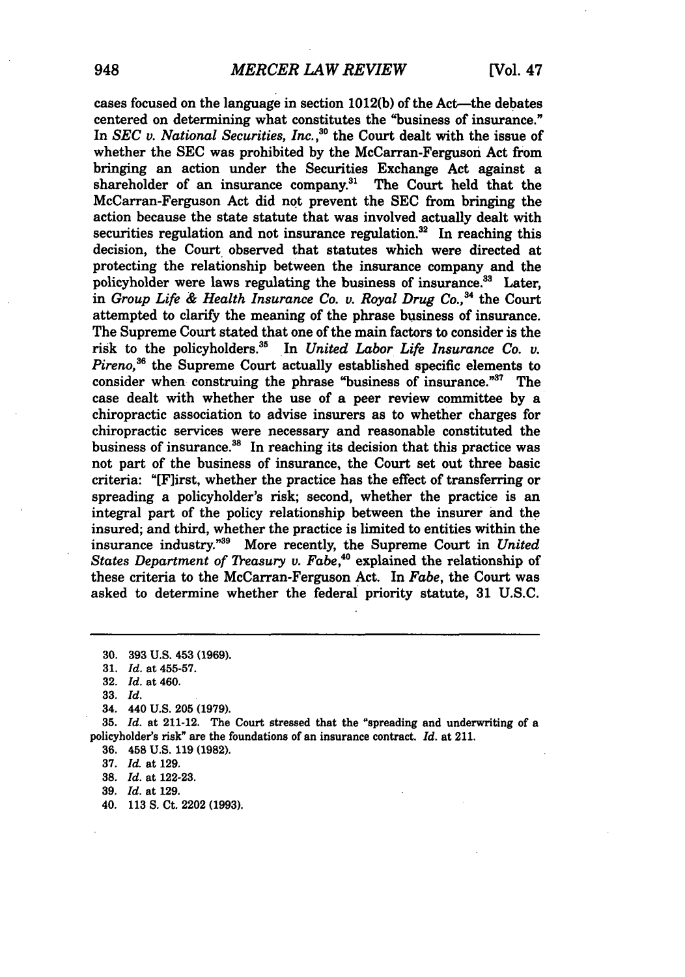cases focused on the language in section **1012(b)** of the Act-the debates centered on determining what constitutes the "business of insurance." In SEC *v. National Securities, Inc.*,<sup>30</sup> the Court dealt with the issue of whether the SEC was prohibited by the McCarran-Ferguson Act from bringing an action under the Securities Exchange Act against a shareholder of an insurance company.<sup>31</sup> The Court held that the McCarran-Ferguson Act did not prevent the SEC from bringing the action because the state statute that was involved actually dealt with securities regulation and not insurance regulation. $32$  In reaching this decision, the Court observed that statutes which were directed at protecting the relationship between the insurance company and the policyholder were laws regulating the business of insurance.<sup>33</sup> Later, in *Group Life & Health Insurance Co. v. Royal Drug Co.*<sup>34</sup> the Court attempted to clarify the meaning of the phrase business of insurance. The Supreme Court stated that one of the main factors to consider is the risk to the policyholders.35 In *United Labor Life Insurance Co. v. Pireno,36* the Supreme Court actually established specific elements to consider when construing the phrase "business of insurance." $37$  The case dealt with whether the use of a peer review committee by a chiropractic association to advise insurers as to whether charges for chiropractic services were necessary and reasonable constituted the business of insurance.<sup>38</sup> In reaching its decision that this practice was not part of the business of insurance, the Court set out three basic criteria: "[F]irst, whether the practice has the effect of transferring or spreading a policyholder's risk; second, whether the practice is an integral part of the policy relationship between the insurer and the insured; and third, whether the practice is limited to entities within the insurance industry."<sup>39</sup> More recently, the Supreme Court in *United States Department* of *Treasury v. Fabe,°* explained the relationship of these criteria to the McCarran-Ferguson Act. In *Fabe,* the Court was asked to determine whether the federal priority statute, **31** U.S.C.

**32.** *Id.* at 460.

**33.** *Id.*

**36.** 458 **U.S. 119 (1982).**

**37.** *Id.* at **129.**

**38.** *Id.* at **122-23.**

**39.** *Id.* at **129.**

40. **113 S.** Ct. 2202 **(1993).**

**<sup>30. 393</sup> U.S.** 453 **(1969).**

**<sup>31.</sup>** *Id.* at **455-57.**

<sup>34. 440</sup> **U.S. 205 (1979).**

**<sup>35.</sup>** *Id.* at 211-12. The Court stressed that the "spreading and underwriting of a policyholder's risk" are the foundations of an insurance contract. *Id.* at 211.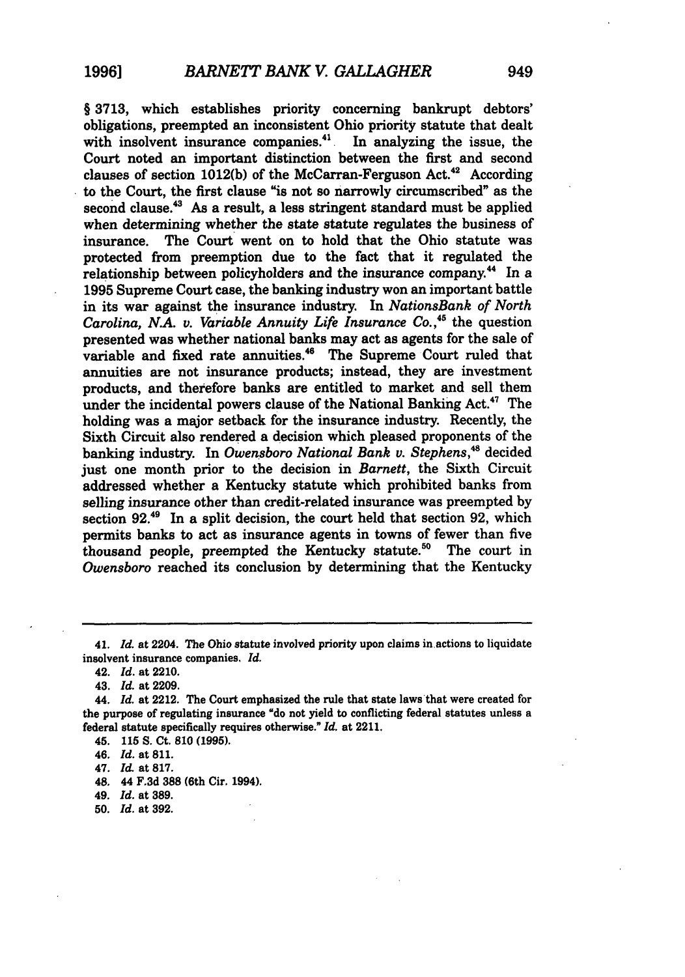§ **3713,** which establishes priority concerning bankrupt debtors' obligations, preempted an inconsistent Ohio priority statute that dealt with insolvent insurance companies. $41$  In analyzing the issue, the Court noted an important distinction between the first and second clauses of section 1012(b) of the McCarran-Ferguson Act.<sup>42</sup> According to the Court, the first clause "is not so narrowly circumscribed" as the second clause.<sup>43</sup> As a result, a less stringent standard must be applied when determining whether the state statute regulates the business of insurance. The Court went on to hold that the Ohio statute was protected from preemption due to the fact that it regulated the relationship between policyholders and the insurance company.<sup>44</sup> In a **1995** Supreme Court case, the banking industry won an important battle in its war against the insurance industry. In *NationsBank of North Carolina, N.A. v. Variable Annuity Life Insurance Co.*,<sup>45</sup> the question presented was whether national banks may act as agents for the sale of variable and fixed rate annuities.<sup>46</sup> The Supreme Court ruled that annuities are not insurance products; instead, they are investment products, and therefore banks are entitled to market and sell them under the incidental powers clause of the National Banking Act.<sup>47</sup> The holding was a major setback for the insurance industry. Recently, the Sixth Circuit also rendered a decision which pleased proponents of the banking industry. In *Owensboro National Bank v. Stephens*,<sup>48</sup> decided just one month prior to the decision in *Barnett,* the Sixth Circuit addressed whether a Kentucky statute which prohibited banks from selling insurance other than credit-related insurance was preempted by section 92.<sup>49</sup> In a split decision, the court held that section 92, which permits banks to act as insurance agents in towns of fewer than five thousand people, preempted the Kentucky statute.<sup>50</sup> The court in *Owensboro* reached its conclusion by determining that the Kentucky

- 48. 44 **F.3d 388** (6th Cir. 1994).
- 49. *Id.* at **389.**
- **50.** *Id.* at **392.**

<sup>41.</sup> *Id.* at 2204. The Ohio statute involved priority upon claims in actions to liquidate insolvent insurance companies, *Id.*

<sup>42.</sup> *Id.* at 2210.

**<sup>43,</sup>** *Id.* at **2209.**

**<sup>44.</sup>** *Id.* at 2212. The Court emphasized the rule that state laws that were created for the purpose of regulating insurance "do not yield to conflicting federal statutes unless a federal statute specifically requires otherwise." *Id.* at 2211.

<sup>45.</sup> **115 S.** Ct. **810 (1995).**

<sup>46.</sup> Id. at **811.**

<sup>47.</sup> *Id* at **817.**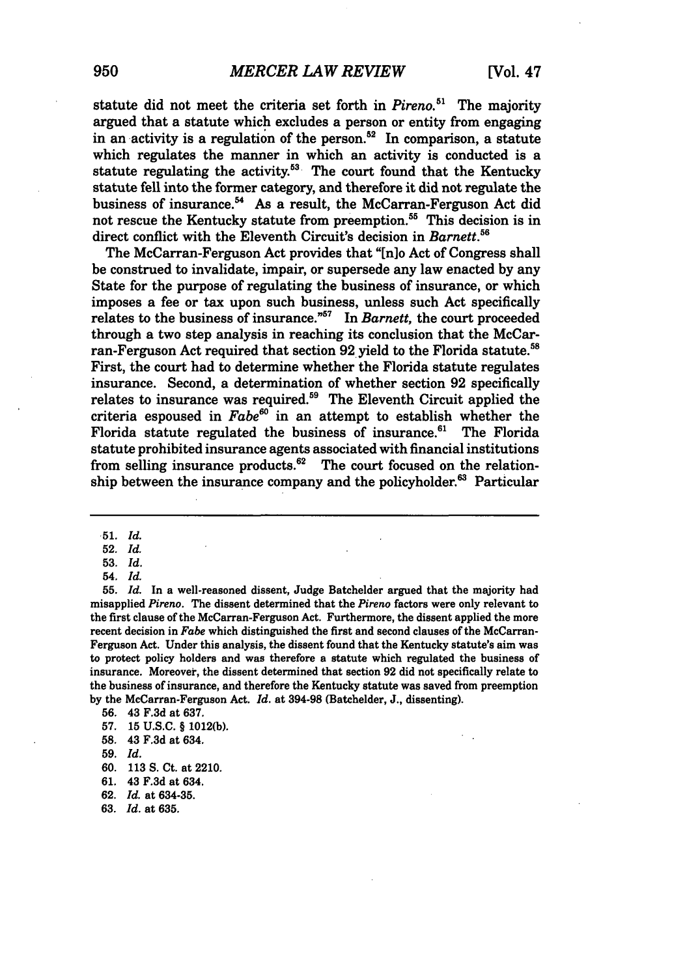statute did not meet the criteria set forth in *Pireno.51* The majority argued that a statute which excludes a person or entity from engaging in an activity is a regulation of the person. $52$  In comparison, a statute which regulates the manner in which an activity is conducted is a statute regulating the activity.<sup>53</sup> The court found that the Kentucky statute fell into the former category, and therefore it did not regulate the business of insurance.<sup>54</sup> As a result, the McCarran-Ferguson Act did not rescue the Kentucky statute from preemption.<sup>55</sup> This decision is in direct conflict with the Eleventh Circuit's decision in *Barnett*.<sup>56</sup>

The McCarran-Ferguson Act provides that "[n]o Act of Congress shall be construed to invalidate, impair, or supersede any law enacted by any State for the purpose of regulating the business of insurance, or which imposes a fee or tax upon such business, unless such Act specifically relates to the business of insurance."<sup>57</sup> In *Barnett*, the court proceeded through a two step analysis in reaching its conclusion that the McCarran-Ferguson Act required that section 92 yield to the Florida statute.<sup>58</sup> First, the court had to determine whether the Florida statute regulates insurance. Second, a determination of whether section 92 specifically relates to insurance was required.<sup>59</sup> The Eleventh Circuit applied the criteria espoused in *Fabes°* in an attempt to establish whether the Florida statute regulated the business of insurance.<sup>61</sup> The Florida statute prohibited insurance agents associated with financial institutions from selling insurance products. $62$  The court focused on the relationship between the insurance company and the policyholder.<sup>63</sup> Particular

**52.** *Id.*

**55.** *Id.* In a well-reasoned dissent, Judge Batchelder argued that the majority had misapplied *Pireno.* The dissent determined that the *Pireno* factors were only relevant to the first clause of the McCarran-Ferguson Act. Furthermore, the dissent applied the more recent decision in *Fabe* which distinguished the first and second clauses of the McCarran-Ferguson Act. Under this analysis, the dissent found that the Kentucky statute's aim was to protect policy holders and was therefore a statute which regulated the business of insurance. Moreover, the dissent determined that section 92 did not specifically relate to the business of insurance, and therefore the Kentucky statute was saved from preemption by the McCarran-Ferguson Act. *Id.* at **394-98** (Batchelder, J., dissenting).

**62.** *Id.* at 634-35.

**<sup>51.</sup>** *Id.*

**<sup>53.</sup>** *Id.*

<sup>54.</sup> *Id.*

**<sup>56.</sup>** 43 F.3d at 637.

**<sup>57.</sup>** 15 U.S.C. § 1012(b).

**<sup>58.</sup>** 43 F.3d at 634.

**<sup>59.</sup>** *Id.*

**<sup>60. 113</sup> S.** Ct. at 2210.

**<sup>61.</sup>** 43 **F.3d** at 634.

**<sup>63.</sup>** *Id.* at **635.**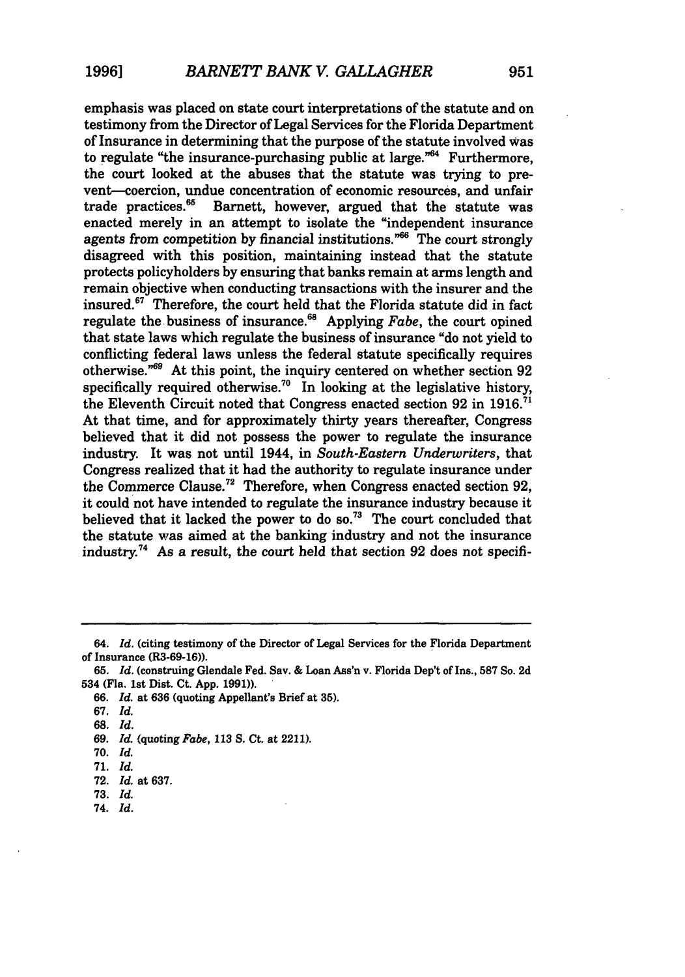emphasis was placed on state court interpretations of the statute and on testimony from the Director of Legal Services for the Florida Department of Insurance in determining that the purpose of the statute involved was to regulate "the insurance-purchasing public at large."<sup>64</sup> Furthermore, the court looked at the abuses that the statute was trying to prevent-coercion, undue concentration of economic resources, and unfair trade practices.<sup>65</sup> Barnett, however, argued that the statute was enacted merely in an attempt to isolate the "independent insurance agents from competition by financial institutions."<sup>66</sup> The court strongly disagreed with this position, maintaining instead that the statute protects policyholders by ensuring that banks remain at arms length and remain objective when conducting transactions with the insurer and the insured.<sup>67</sup> Therefore, the court held that the Florida statute did in fact regulate the business of insurance." Applying *Fabe,* the court opined that state laws which regulate the business of insurance "do not yield to conflicting federal laws unless the federal statute specifically requires otherwise.<sup>"69</sup> At this point, the inquiry centered on whether section 92 specifically required otherwise.<sup>70</sup> In looking at the legislative history, the Eleventh Circuit noted that Congress enacted section **92** in 1916.71 At that time, and for approximately thirty years thereafter, Congress believed that it did not possess the power to regulate the insurance industry. It was not until 1944, in *South-Eastern Underwriters,* that Congress realized that it had the authority to regulate insurance under the Commerce Clause.7' Therefore, when Congress enacted section **92,** it could not have intended to regulate the insurance industry because it believed that it lacked the power to do so.<sup>73</sup> The court concluded that the statute was aimed at the banking industry and not the insurance industry.74 As a result, the court held that section **92** does not specifi-

**67.** *Id.*

**74.** *Id.*

<sup>64.</sup> *Id.* (citing testimony of the Director of Legal Services for the Florida Department of Insurance (R3-69-16)).

**<sup>65.</sup>** *Id.* (construing Glendale Fed. Sav.& Loan Ass'n v. Florida Dep't of Ins., **587** So. 2d 534 (Fla. 1st Dist. Ct. App. **1991)).**

*<sup>66.</sup> Id.* at **636** (quoting Appellant's Brief at **35).**

**<sup>68.</sup>** *Id.*

*<sup>69.</sup> Id.* (quoting *Fabe,* 113 S. Ct. at 2211).

**<sup>70.</sup>** *Id.*

<sup>71.</sup> **Id.**

<sup>72.</sup> **Id.** at 637.

**<sup>73.</sup>** *Id.*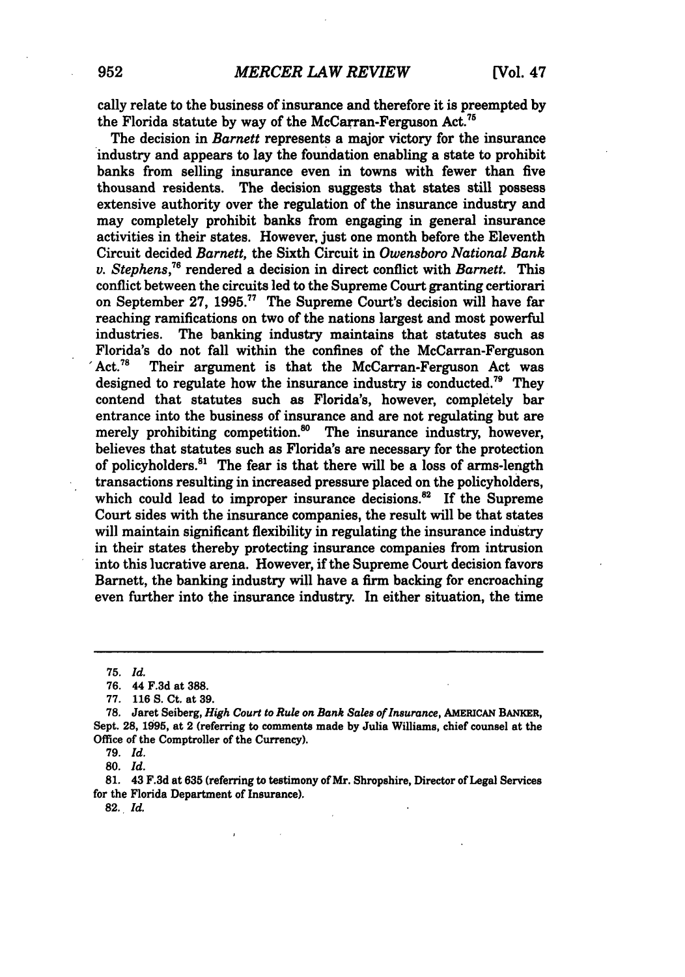cally relate to the business of insurance and therefore it is preempted by the Florida statute by way of the McCarran-Ferguson Act.<sup>75</sup>

The decision in *Barnett* represents a major victory for the insurance industry and appears to lay the foundation enabling a state to prohibit banks from selling insurance even in towns with fewer than five The decision suggests that states still possess extensive authority over the regulation of the insurance industry and may completely prohibit banks from engaging in general insurance activities in their states. However, just one month before the Eleventh Circuit decided *Barnett,* the Sixth Circuit in *Owensboro National Bank v. Stephens*,<sup>76</sup> rendered a decision in direct conflict with *Barnett*. This conflict between the circuits led to the Supreme Court granting certiorari on September 27, 1995.<sup>77</sup> The Supreme Court's decision will have far reaching ramifications on two of the nations largest and most powerful industries. The banking industry maintains that statutes such as Florida's do not fall within the confines of the McCarran-Ferguson  $Act.^{78}$  Their argument is that the McCarran-Ferguson Act was designed to regulate how the insurance industry is conducted.<sup>79</sup> They contend that statutes such as Florida's, however, completely bar entrance into the business of insurance and are not regulating but are merely prohibiting competition. $^{80}$  The insurance industry, however, believes that statutes such as Florida's are necessary for the protection of policyholders.81 The fear is that there will be a loss of arms-length transactions resulting in increased pressure placed on the policyholders, which could lead to improper insurance decisions.<sup>82</sup> If the Supreme Court sides with the insurance companies, the result will be that states will maintain significant flexibility in regulating the insurance industry in their states thereby protecting insurance companies from intrusion into this lucrative arena. However, if the Supreme Court decision favors Barnett, the banking industry will have a firm backing for encroaching even further into the insurance industry. In either situation, the time

**81.** 43 **F.3d** at **635** (referring to testimony of Mr. Shropshire, Director of Legal Services for the Florida Department of Insurance).

**82.** *Id.*

**<sup>75.</sup>** *Id.*

**<sup>76.</sup>** 44 F.3d at 388.

<sup>77.</sup> **116** S. Ct. at **39.**

**<sup>78.</sup>** Jaret Seiberg, *High Court to Rule on Bank Sales of Insurance,* **AMERICAN** BANKER, Sept. **28, 1995,** at 2 (referring to comments made **by** Julia Williams, chief counsel at the Office of the Comptroller of the Currency).

**<sup>79.</sup>** *Id.*

**<sup>80.</sup>** *Id.*